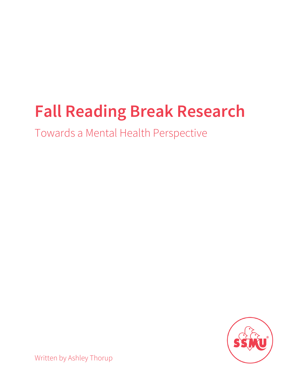## **Fall Reading Break Research**

Towards a Mental Health Perspective



Written by Ashley Thorup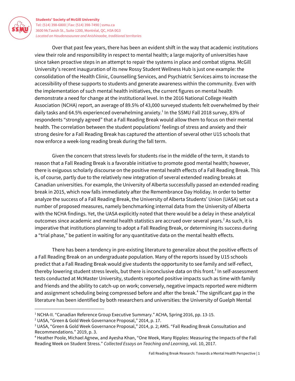

Over that past few years, there has been an evident shift in the way that academic institutions view their role and responsibility in respect to mental health; a large majority of universities have since taken proactive steps in an attempt to repair the systems in place and combat stigma. McGill University's recent inauguration of its new Rossy Student Wellness Hub is just one example: the consolidation of the Health Clinic, Counselling Services, and Psychiatric Services aims to increase the accessibility of these supports to students and generate awareness within the community. Even with the implementation of such mental health initiatives, the current figures on mental health demonstrate a need for change at the institutional level. In the 2016 National College Health Association (NCHA) report, an average of 89.5% of 43,000 surveyed students felt overwhelmed by their daily tasks and 64.5% experienced overwhelming anxiety. $^1$  In the SSMU Fall 2018 survey, 83% of respondents "strongly agreed" that a Fall Reading Break would allow them to focus on their mental health. The correlation between the student populations' feelings of stress and anxiety and their strong desire for a Fall Reading Break has captured the attention of several other U15 schools that now enforce a week-long reading break during the fall term.

Given the concern that stress levels for students rise in the middle of the term, it stands to reason that a Fall Reading Break is a favorable initiative to promote good mental health; however, there is exiguous scholarly discourse on the positive mental health effects of a Fall Reading Break. This is, of course, partly due to the relatively new integration of several extended reading breaks at Canadian universities. For example, the University of Alberta successfully passed an extended reading break in 2015, which now falls immediately after the Remembrance Day Holiday. In order to better analyze the success of a Fall Reading Break, the University of Alberta Students' Union (UASA) set out a number of proposed measures, namely benchmarking internal data from the University of Alberta with the NCHA findings. Yet, the UASA explicitly noted that there would be a delay in these analytical outcomes since academic and mental health statistics are accrued over several years. $^2$  As such, it is imperative that institutions planning to adopt a Fall Reading Break, or determining its success during a "trial phase," be patient in waiting for any quantitative data on the mental health effects.

There has been a tendency in pre-existing literature to generalize about the positive effects of a Fall Reading Break on an undergraduate population. Many of the reports issued by U15 schools predict that a Fall Reading Break would give students the opportunity to see family and self-reflect, thereby lowering student stress levels, but there is inconclusive data on this front. $^3$  In self-assessment tests conducted at McMaster University, students reported positive impacts such as time with family and friends and the ability to catch-up on work; conversely, negative impacts reported were midterm and assignment scheduling being compressed before and after the break.<sup>4</sup> The significant gap in the literature has been identified by both researchers and universities: the University of Guelph Mental

<sup>&</sup>lt;sup>1</sup> NCHA-II. "Canadian Reference Group Executive Summary." ACHA, Spring 2016, pp. 13-15.

<sup>2</sup> UASA, "Green & Gold Week Governance Proposal," 2014, p. 17.

<sup>3</sup> UASA, "Green & Gold Week Governance Proposal," 2014, p. 2; AMS. "Fall Reading Break Consultation and Recommendations." 2019, p. 3.

<sup>4</sup> Heather Poole, Michael Agnew, and Ayesha Khan, "One Week, Many Ripples: Measuring the Impacts of the Fall Reading Week on Student Stress." *Collected Essays on Teaching and Learning*, vol. 10, 2017.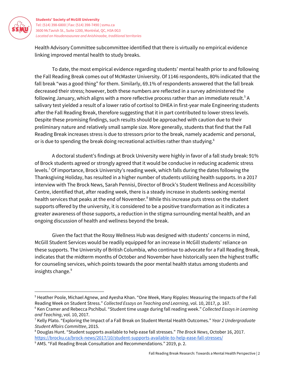

Health Advisory Committee subcommittee identified that there is virtually no empirical evidence linking improved mental health to study breaks.

To date, the most empirical evidence regarding students' mental health prior to and following the Fall Reading Break comes out of McMaster University. Of 1146 respondents, 80% indicated that the fall break "was a good thing" for them. Similarly, 69.1% of respondents answered that the fall break decreased their stress; however, both these numbers are reflected in a survey administered the following January, which aligns with a more reflective process rather than an immediate result. $^5$  A salivary test yielded a result of a lower ratio of cortisol to DHEA in first-year male Engineering students after the Fall Reading Break, therefore suggesting that it in part contributed to lower stress levels. Despite these promising findings, such results should be approached with caution due to their preliminary nature and relatively small sample size. More generally, students that find that the Fall Reading Break increases stress is due to stressors prior to the break, namely academic and personal, or is due to spending the break doing recreational activities rather than studying. $^{\rm 6}$ 

A doctoral student's findings at Brock University were highly in favor of a fall study break: 91% of Brock students agreed or strongly agreed that it would be conducive in reducing academic stress levels.<sup>7</sup> Of importance, Brock University's reading week, which falls during the dates following the Thanksgiving Holiday, has resulted in a higher number of students utilizing health supports. In a 2017 interview with The Brock News, Sarah Pennisi, Director of Brock's Student Wellness and Accessibility Centre, identified that, after reading week, there is a steady increase in students seeking mental health services that peaks at the end of November. $^8$  While this increase puts stress on the student supports offered by the university, it is considered to be a positive transformation as it indicates a greater awareness of those supports, a reduction in the stigma surrounding mental health, and an ongoing discussion of health and wellness beyond the break.

Given the fact that the Rossy Wellness Hub was designed with students' concerns in mind, McGill Student Services would be readily equipped for an increase in McGill students' reliance on these supports. The University of British Columbia, who continue to advocate for a Fall Reading Break, indicates that the midterm months of October and November have historically seen the highest traffic for counseling services, which points towards the poor mental health status among students and insights change. 9

<sup>5</sup> Heather Poole, Michael Agnew, and Ayesha Khan. "One Week, Many Ripples: Measuring the Impacts of the Fall Reading Week on Student Stress." *Collected Essays on Teaching and Learning*, vol. 10, 2017, p. 167.

<sup>6</sup> Ken Cramer and Rebecca Pschibul. "Student time usage during fall reading week." *Collected Essays in Learning and Teaching*, vol. 10, 2017.

<sup>7</sup> Kelly Plato. "Exploring the Impact of a Fall Break on Student Mental Health Outcomes." *Year 2 Undergraduate Student Affairs Committee*, 2015.

<sup>8</sup> Douglas Hunt. "Student supports available to help ease fall stresses." *The Brock News*, October 16, 2017. <https://brocku.ca/brock-news/2017/10/student-supports-available-to-help-ease-fall-stresses/>

<sup>&</sup>lt;sup>9</sup> AMS. "Fall Reading Break Consultation and Recommendations." 2019, p. 2.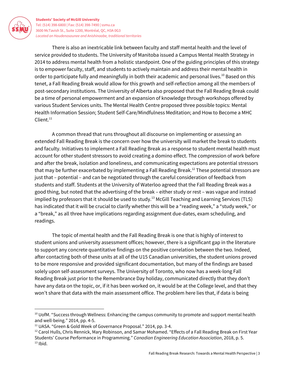

There is also an inextricable link between faculty and staff mental health and the level of service provided to students. The University of Manitoba issued a Campus Mental Health Strategy in 2014 to address mental health from a holistic standpoint. One of the guiding principles of this strategy is to empower faculty, staff, and students to actively maintain and address their mental health in order to participate fully and meaningfully in both their academic and personal lives. $^{10}$  Based on this tenet, a Fall Reading Break would allow for this growth and self-reflection among all the members of post-secondary institutions. The University of Alberta also proposed that the Fall Reading Break could be a time of personal empowerment and an expansion of knowledge through workshops offered by various Student Services units. The Mental Health Centre proposed three possible topics: Mental Health Information Session; Student Self-Care/Mindfulness Meditation; and How to Become a MHC Client. 11

A common thread that runs throughout all discourse on implementing or assessing an extended Fall Reading Break is the concern over how the university will market the break to students and faculty. Initiatives to implement a Fall Reading Break as a response to student mental health must account for other student stressors to avoid creating a domino effect. The compression of work before and after the break, isolation and loneliness, and communicating expectations are potential stressors that may be further exacerbated by implementing a Fall Reading Break.<sup>12</sup> These potential stressors are just that – potential – and can be negotiated through the careful consideration of feedback from students and staff. Students at the University of Waterloo agreed that the Fall Reading Break was a good thing, but noted that the advertising of the break – either study or rest – was vague and instead implied by professors that it should be used to study. $^{13}$  McGill Teaching and Learning Services (TLS) has indicated that it will be crucial to clarify whether this will be a "reading week," a "study week," or a "break," as all three have implications regarding assignment due-dates, exam scheduling, and readings.

The topic of mental health and the Fall Reading Break is one that is highly of interest to student unions and university assessment offices; however, there is a significant gap in the literature to support any concrete quantitative findings on the positive correlation between the two. Indeed, after contacting both of these units at all of the U15 Canadian universities, the student unions proved to be more responsive and provided significant documentation, but many of the findings are based solely upon self-assessment surveys. The University of Toronto, who now has a week-long Fall Reading Break just prior to the Remembrance Day holiday, communicated directly that they don't have any data on the topic, or, if it has been worked on, it would be at the College level, and that they won't share that data with the main assessment office. The problem here lies that, if data is being

 $10$  UofM. "Success through Wellness: Enhancing the campus community to promote and support mental health and well-being." 2014, pp. 4-5.

<sup>&</sup>lt;sup>11</sup> UASA. "Green & Gold Week of Governance Proposal." 2014, pp. 3-4.

<sup>&</sup>lt;sup>12</sup> Carol Hulls, Chris Rennick, Mary Robinson, and Samar Mohamed. "Effects of a Fall Reading Break on First Year Students' Course Performance in Programming." *Canadian Engineering Education Association*, 2018, p. 5.  $13$  lbid.